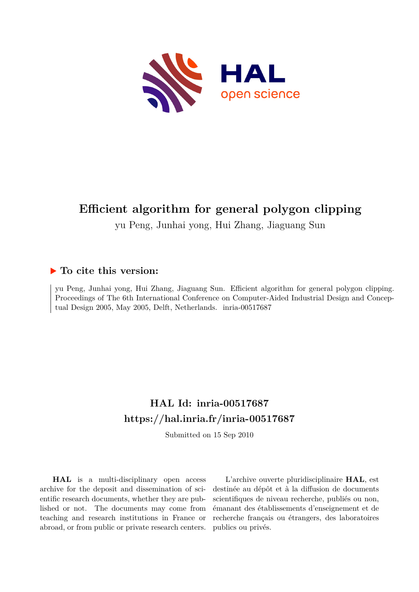

# **Efficient algorithm for general polygon clipping**

yu Peng, Junhai yong, Hui Zhang, Jiaguang Sun

## **To cite this version:**

yu Peng, Junhai yong, Hui Zhang, Jiaguang Sun. Efficient algorithm for general polygon clipping. Proceedings of The 6th International Conference on Computer-Aided Industrial Design and Conceptual Design 2005, May 2005, Delft, Netherlands. inria-00517687

# **HAL Id: inria-00517687 <https://hal.inria.fr/inria-00517687>**

Submitted on 15 Sep 2010

**HAL** is a multi-disciplinary open access archive for the deposit and dissemination of scientific research documents, whether they are published or not. The documents may come from teaching and research institutions in France or abroad, or from public or private research centers.

L'archive ouverte pluridisciplinaire **HAL**, est destinée au dépôt et à la diffusion de documents scientifiques de niveau recherche, publiés ou non, émanant des établissements d'enseignement et de recherche français ou étrangers, des laboratoires publics ou privés.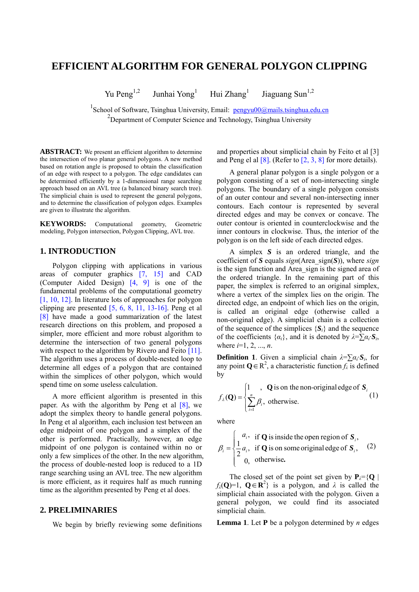## **EFFICIENT ALGORITHM FOR GENERAL POLYGON CLIPPING**

Yu Peng<sup>1,2</sup> Junhai Yong<sup>1</sup> Hui  $Zhang<sup>1</sup>$ Jiaguang Sun $^{1,2}$ 

<sup>1</sup> School of Software, Tsinghua University, Email: [pengyu00@mails.tsinghua.edu.cn](mailto:pengy@cg.cs.tsinghua.edu.cnzju.edu.cn) <sup>2</sup> Department of Computer Science and Technology, Tsinghua University

**ABSTRACT:** We present an efficient algorithm to determine the intersection of two planar general polygons. A new method based on rotation angle is proposed to obtain the classification of an edge with respect to a polygon. The edge candidates can be determined efficiently by a 1-dimensional range searching approach based on an AVL tree (a balanced binary search tree). The simplicial chain is used to represent the general polygons, and to determine the classification of polygon edges. Examples are given to illustrate the algorithm.

**KEYWORDS:** Computational geometry, Geometric modeling, Polygon intersection, Polygon Clipping, AVL tree.

### **1. INTRODUCTION**

Polygon clipping with applications in various areas of computer graphics [7, 15] and CAD (Computer Aided Design) [4, 9] is one of the fundamental problems of the computational geometry [1, 10, 12]. In literature lots of approaches for polygon clipping are presented [5, 6, 8, 11, 13-16]. Peng et al [8] have made a good summarization of the latest research directions on this problem, and proposed a simpler, more efficient and more robust algorithm to determine the intersection of two general polygons with respect to the algorithm by Rivero and Feito [11]. The algorithm uses a process of double-nested loop to determine all edges of a polygon that are contained within the simplices of other polygon, which would spend time on some useless calculation.

A more efficient algorithm is presented in this paper. As with the algorithm by Peng et al  $[8]$ , we adopt the simplex theory to handle general polygons. In Peng et al algorithm, each inclusion test between an edge midpoint of one polygon and a simplex of the other is performed. Practically, however, an edge midpoint of one polygon is contained within no or only a few simplices of the other. In the new algorithm, the process of double-nested loop is reduced to a 1D range searching using an AVL tree. The new algorithm is more efficient, as it requires half as much running time as the algorithm presented by Peng et al does.

#### **2. PRELIMINARIES**

We begin by briefly reviewing some definitions

and properties about simplicial chain by Feito et al [3] and Peng el al  $\lceil 8 \rceil$ . (Refer to  $\lceil 2, 3, 8 \rceil$  for more details).

A general planar polygon is a single polygon or a polygon consisting of a set of non-intersecting single polygons. The boundary of a single polygon consists of an outer contour and several non-intersecting inner contours. Each contour is represented by several directed edges and may be convex or concave. The outer contour is oriented in counterclockwise and the inner contours in clockwise. Thus, the interior of the polygon is on the left side of each directed edges.

A simplex *S* is an ordered triangle, and the coefficient of *S* equals *sign*(Area\_sign(*S*)), where *sign* is the sign function and Area\_sign is the signed area of the ordered triangle. In the remaining part of this paper, the simplex is referred to an original simplex, where a vertex of the simplex lies on the origin. The directed edge, an endpoint of which lies on the origin, is called an original edge (otherwise called a non-original edge). A simplicial chain is a collection of the sequence of the simplices  ${S_i}$  and the sequence of the coefficients  $\{\alpha_i\}$ , and it is denoted by  $\lambda = \sum \alpha_i \cdot S_i$ , where *i*=1, 2, ..., *n*.

**Definition 1**. Given a simplicial chain  $\lambda = \sum a_i S_i$ , for any point **Q**∈R<sup>2</sup>, a characteristic function  $f_\lambda$  is defined by

$$
f_{\lambda}(\mathbf{Q}) = \begin{cases} 1 & , \mathbf{Q} \text{ is on the non-original edge of } \mathbf{S}_i \\ \sum_{i=1}^{n} \beta_i & \text{otherwise.} \end{cases}
$$
 (1)

where

$$
\beta_i = \begin{cases} a_i, & \text{if } \mathbf{Q} \text{ is inside the open region of } \mathbf{S}_i, \\ \frac{1}{2} a_i, & \text{if } \mathbf{Q} \text{ is on some original edge of } \mathbf{S}_i, \\ 0, & \text{otherwise.} \end{cases}
$$
 (2)

The closed set of the point set given by  $P_{\lambda} = \{Q \mid$ *f*<sub> $\lambda$ </sub>(**Q**)=1, **Q**∈**R**<sup>2</sup>} is a polygon, and  $\lambda$  is called the simplicial chain associated with the polygon. Given a general polygon, we could find its associated simplicial chain.

**Lemma 1**. Let **P** be a polygon determined by *n* edges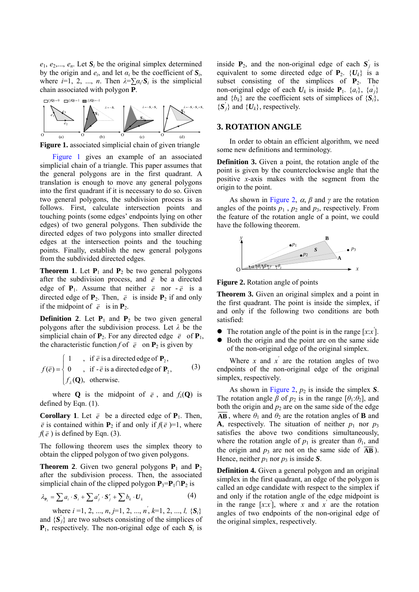$e_1, e_2, \ldots, e_n$ . Let  $S_i$  be the original simplex determined by the origin and  $e_i$ , and let  $\alpha_i$  be the coefficient of  $S_i$ , where  $i=1, 2, ..., n$ . Then  $\lambda = \sum \alpha_i S_i$  is the simplicial chain associated with polygon **P**.



**Figure 1.** associated simplicial chain of given triangle

Figure 1 gives an example of an associated simplicial chain of a triangle. This paper assumes that the general polygons are in the first quadrant. A translation is enough to move any general polygons into the first quadrant if it is necessary to do so. Given two general polygons, the subdivision process is as follows. First, calculate intersection points and touching points (some edges' endpoints lying on other edges) of two general polygons. Then subdivide the directed edges of two polygons into smaller directed edges at the intersection points and the touching points. Finally, establish the new general polygons from the subdivided directed edges.

**Theorem 1**. Let  $P_1$  and  $P_2$  be two general polygons after the subdivision process, and  $\vec{e}$  be a directed edge of  $P_1$ . Assume that neither  $\vec{e}$  nor  $-\vec{e}$  is a directed edge of  $P_2$ . Then,  $\vec{e}$  is inside  $P_2$  if and only if the midpoint of  $\vec{e}$  is in **P**<sub>2</sub>.

**Definition 2.** Let  $P_1$  and  $P_2$  be two given general polygons after the subdivision process. Let *λ* be the simplicial chain of  $P_2$ . For any directed edge  $\vec{e}$  of  $P_1$ , the characteristic function *f* of  $\vec{e}$  on **P**<sub>2</sub> is given by

$$
f(\vec{e}) = \begin{cases} 1, & \text{if } \vec{e} \text{ is a directed edge of } \mathbf{P}_2, \\ 0, & \text{if } -\vec{e} \text{ is a directed edge of } \mathbf{P}_2, \\ f_{\lambda}(\mathbf{Q}), & \text{otherwise.} \end{cases}
$$
 (3)

where **Q** is the midpoint of  $\vec{e}$ , and  $f_\lambda(\mathbf{Q})$  is defined by Eqn. (1).

**Corollary 1**. Let  $\vec{e}$  be a directed edge of  $P_1$ . Then,  $\vec{e}$  is contained within **P**<sub>2</sub> if and only if  $\vec{f}(\vec{e})=1$ , where  $f(\vec{e})$  is defined by Eqn. (3).

The following theorem uses the simplex theory to obtain the clipped polygon of two given polygons.

**Theorem 2**. Given two general polygons  $P_1$  and  $P_2$ after the subdivision process. Then, the associated simplicial chain of the clipped polygon  $P_3 = P_1 \cap P_2$  is

$$
\lambda_{\mathbf{P}_3} = \sum a_i \cdot \mathbf{S}_i + \sum a'_j \cdot \mathbf{S}'_j + \sum b_k \cdot \mathbf{U}_k \tag{4}
$$

where  $i = 1, 2, ..., n, j = 1, 2, ..., n', k = 1, 2, ..., l, \{S_i\}$ and  ${S'_i}$  are two subsets consisting of the simplices of  $P_1$ , respectively. The non-original edge of each  $S_i$  is

inside  $P_2$ , and the non-original edge of each  $S'_j$  is equivalent to some directed edge of  $P_2$ .  $\{U_k\}$  is a subset consisting of the simplices of  $P_2$ . The non-original edge of each  $U_k$  is inside  $P_1$ .  $\{a_i\}$ ,  $\{a'_j\}$ and  ${b_k}$  are the coefficient sets of simplices of  ${S_i}$ ,  ${S}'_j$  and  ${U_k}$ , respectively.

#### **3. ROTATION ANGLE**

In order to obtain an efficient algorithm, we need some new definitions and terminology.

**Definition 3.** Given a point, the rotation angle of the point is given by the counterclockwise angle that the positive *x*-axis makes with the segment from the origin to the point.

As shown in Figure 2,  $\alpha$ ,  $\beta$  and  $\gamma$  are the rotation angles of the points  $p_1$ ,  $p_2$  and  $p_3$ , respectively. From the feature of the rotation angle of a point, we could have the following theorem.



**Figure 2.** Rotation angle of points

**Theorem 3.** Given an original simplex and a point in the first quadrant. The point is inside the simplex, if and only if the following two conditions are both satisfied:

- The rotation angle of the point is in the range  $[x:x']$ .
- Both the origin and the point are on the same side of the non-original edge of the original simplex.

Where  $x$  and  $x'$  are the rotation angles of two endpoints of the non-original edge of the original simplex, respectively.

As shown in Figure 2,  $p_2$  is inside the simplex  $S$ . The rotation angle  $\beta$  of  $p_2$  is in the range  $[\theta_1:\theta_2]$ , and both the origin and  $p_2$  are on the same side of the edge  $\overline{AB}$ , where  $\theta_1$  and  $\theta_2$  are the rotation angles of **B** and **A**, respectively. The situation of neither  $p_1$  nor  $p_3$ satisfies the above two conditions simultaneously, where the rotation angle of  $p_1$  is greater than  $\theta_1$ , and the origin and  $p_3$  are not on the same side of  $\overline{AB}$ ). Hence, neither  $p_1$  nor  $p_3$  is inside *S*.

**Definition 4.** Given a general polygon and an original simplex in the first quadrant, an edge of the polygon is called an edge candidate with respect to the simplex if and only if the rotation angle of the edge midpoint is in the range  $[x:x']$ , where *x* and *x'* are the rotation angles of two endpoints of the non-original edge of the original simplex, respectively.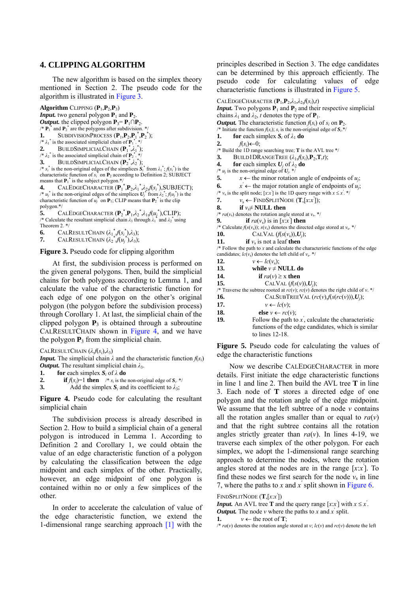#### **4. CLIPPING ALGORITHM**

The new algorithm is based on the simplex theory mentioned in Section 2. The pseudo code for the algorithm is illustrated in Figure 3.

**Algorithm** CLIPPING  $(\mathbf{P}_1, \mathbf{P}_2, \mathbf{P}_3)$ 

*Input.* two general polygon  $P_1$  and  $P_2$ .

*Output.* the clipped polygon  $P_3 = P_1 ∩ P_2$ .

 $\mathbf{P}_1^*$  and  $\mathbf{P}_2^*$  are the polygons after subdivision. \*/

**1.** SUBDIVISIONPROCESS  $(\mathbf{P}_1, \mathbf{P}_2, \mathbf{P}_1^*, \mathbf{P}_2^*)$ ; /\*  $\lambda_1$ <sup>\*</sup> is the associated simplicial chain of  $P_1$ <sup>\*</sup>. \*/

**2.** BUILDSIMPLICIALCHAIN  $(\mathbf{P}_1^*, \lambda_1^*)$ ;

/\*  $\lambda_2$ <sup>\*</sup> is the associated simplicial chain of  $P_2$ <sup>\*</sup>. \*/

**3.** BUILDSIMPLICIALCHAIN  $(\mathbf{P}_2^*, \lambda_2^*)$ ;

/\*  $s_i^*$  is the non-original edges of the simplices  $S_i^*$  from  $\lambda_1^*$ ;  $f(s_i^*)$  is the characteristic function of  $s_i^*$  on  $P_2$  according to Definition 2; SUBJECT means that  $\mathbf{P}_1^*$  is the subject polygon.\*/

**4.** CALEDGECHARACTER  $(\mathbf{P}_1^*, \mathbf{P}_2, \lambda_1^*, \lambda_2, f(s_i^*)$ , SUBJECT); /\*  $u_j$ <sup>\*</sup> is the non-original edges of the simplices  $U_j$ <sup>\*</sup> from  $\lambda_2$ <sup>\*</sup>;  $f(u_j$ <sup>\*</sup>) is the characteristic function of  $u_j^*$  on  $P_1$ ; CLIP means that  $P_2^*$  is the clip polygon.\*/

5. CALEDGECHARACTER  $(\mathbf{P}_2^*, \mathbf{P}_1, \lambda_2^*, \lambda_1, f(u_i^*), \text{CLIP})$ ; /\* Calculate the resultant simplicial chain  $\lambda_3$  through  $\lambda_1^*$  and  $\lambda_2^*$  using Theorem 2. \*/

**6.** CALRESULTCHAIN  $(\lambda_1^* f(s_i^*), \lambda_3)$ ;

**7.** CALRESULTCHAIN  $(\lambda_2^* f(u_i^*), \lambda_3)$ ;

**Figure 3.** Pseudo code for clipping algorithm

At first, the subdivision process is performed on the given general polygons. Then, build the simplicial chains for both polygons according to Lemma 1, and calculate the value of the characteristic function for each edge of one polygon on the other's original polygon (the polygon before the subdivision process) through Corollary 1. At last, the simplicial chain of the clipped polygon  $P_3$  is obtained through a subroutine CALRESULTCHAIN shown in Figure 4, and we have the polygon  $P_3$  from the simplicial chain.

CALRESULTCHAIN (*λ*,*f*(*si*),*λ*3)

*<i>Input.* The simplicial chain  $\lambda$  and the characteristic function  $f(s_i)$ *Output.* The resultant simplicial chain  $\lambda_3$ .

**1. for** each simplex  $S_i$  of  $\lambda$  **do** 

2. **if**  $f(s_i)=1$  **then** /\*  $s_i$  is the non-original edge of  $S_i$ . \*/<br>**3.** Add the simplex  $S_i$  and its coefficient to  $\lambda_3$ .

Add the simplex  $S_i$  and its coefficient to  $\lambda_3$ ;

**Figure 4.** Pseudo code for calculating the resultant simplicial chain

The subdivision process is already described in Section 2. How to build a simplicial chain of a general polygon is introduced in Lemma 1. According to Definition 2 and Corollary 1, we could obtain the value of an edge characteristic function of a polygon by calculating the classification between the edge midpoint and each simplex of the other. Practically, however, an edge midpoint of one polygon is contained within no or only a few simplices of the other.

In order to accelerate the calculation of value of the edge characteristic function, we extend the 1-dimensional range searching approach [1] with the

principles described in Section 3. The edge candidates can be determined by this approach efficiently. The pseudo code for calculating values of edge characteristic functions is illustrated in Figure 5.

CALEDGECHARACTER  $(\mathbf{P}_1, \mathbf{P}_2, \lambda_1, \lambda_2, f(s_i), t)$ *Input.* Two polygons  $P_1$  and  $P_2$  and their respective simplicial chains  $\lambda_1$  and  $\lambda_2$ , *t* denotes the type of **P**<sub>1</sub>. *Output.* The characteristic function  $f(s_i)$  of  $s_i$  on  $P_2$ . /\* Initiate the function  $f(s_i)$ ;  $s_i$  is the non-original edge of  $S_i$ .\*/<br>**1.** for each simplex  $S_i$  of  $\lambda_1$  do **for** each simplex  $S_i$  of  $\lambda_1$  **do 2.**  $f(s_i) \leftarrow 0$ ; /\* Build the 1D range searching tree; **T** is the AVL tree \*/ **3.** BUILD1DRANGETREE  $(\lambda_1, f(s_i), P_2, T, t)$ ;<br>**4.** for each simplex  $U_i$  of  $\lambda_2$  do **for** each simplex  $U_i$  of  $\lambda_2$  **do** /\*  $u_j$  is the non-original edge of  $U_j$ . \*/ **5.**  $x \leftarrow$  the minor rotation angle of endpoints of *u<sub>i</sub>*; **6.**  $x' \leftarrow$  the major rotation angle of endpoints of  $u_j$ ; /\*  $v_s$  is the split node;  $[x:x']$  is the 1D query range with  $x \le x'$ . \*/ **7.**  $v_s$  ← FINDSPLITNODE (**T**,[*x*:*x*<sup> $\cdot$ </sup>]); **8. if**  $v_s \neq \textbf{NULL}$  **then** /\*  $ra(v_s)$  denotes the rotation angle stored at  $v_s$ . \*/<br>9. **if**  $ra(v_s)$  is in [x:x<sup>-</sup>] **then 9. if**  $ra(v_s)$  is in  $[x:x']$  **then** /\* Calculate  $f(s(v_s))$ ;  $s(v_s)$  denotes the directed edge stored at  $v_s$ . \*/ **10.** CALVAL  $(f(s(v_s)), U_j)$ ;<br>**11. if**  $v_s$  is not a leaf **then if**  $v_s$  is not a leaf **then** /\* Follow the path to *x* and calculate the characteristic functions of the edge candidates;  $lc(v_s)$  denotes the left child of  $v_s$ . \*/ **12.**  $v \leftarrow lc(v_s);$ <br> **13.** while  $v \neq 1$ **13. 13. 13. 13. 13. 13. 13. 13. 13. 13. 13. 13. 13. 13. 13. 13. 13. 13. 13. 13. 13. 13. 13. 13. 13. 13. 13. 13. 13. 13. 13. 13. 13. 13. 13. 13. 13. 14. if**  $ra(v) \ge x$  **then 15.** CALVAL  $(f(s(v)), U_i)$ ; /\* Traverse the subtree rooted at  $rc(v)$ ;  $rc(v)$  denotes the right child of *v*. \*/ **16.** CALSUBTREEVAL  $(rc(v), f(s(rc(v))), U_i)$ ; **17.**  $v \leftarrow lc(v)$ ; **18. else**  $v \leftarrow rc(v)$ ; **19.** Follow the path to  $x'$ , calculate the characteristic functions of the edge candidates, which is similar to lines 12-18.

**Figure 5.** Pseudo code for calculating the values of edge the characteristic functions

Now we describe CALEDGECHARACTER in more details. First initiate the edge characteristic functions in line 1 and line 2. Then build the AVL tree **T** in line 3. Each node of **T** stores a directed edge of one polygon and the rotation angle of the edge midpoint. We assume that the left subtree of a node *v* contains all the rotation angles smaller than or equal to  $ra(v)$ and that the right subtree contains all the rotation angles strictly greater than  $ra(v)$ . In lines 4-19, we traverse each simplex of the other polygon. For each simplex, we adopt the 1-dimensional range searching approach to determine the nodes, where the rotation angles stored at the nodes are in the range  $[x:x']$ . To find these nodes we first search for the node  $v_s$  in line 7, where the paths to  $x$  and  $x'$  split shown in Figure 6.

FINDSPLITNODE (**T**,[*x*:*x'* ])

*Input.* An AVL tree **T** and the query range  $[x:x']$  with  $x \le x'$ . *Output.* The node  $v$  where the paths to  $x$  and  $x'$  split.

```
1. v \leftarrow the root of T;
```
/\*  $ra(v)$  denotes the rotation angle stored at *v*;  $lc(v)$  and  $rc(v)$  denote the left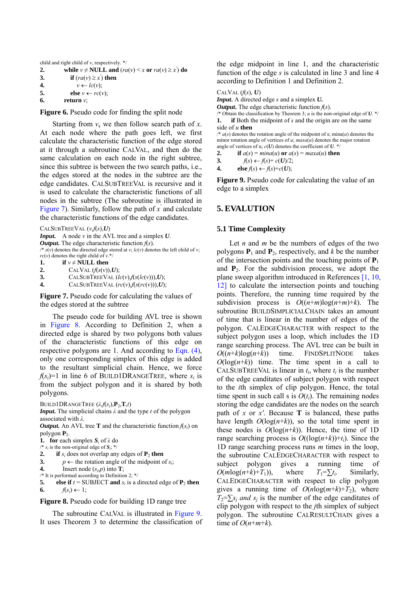child and right child of *v*, respectively. \*/

```
2. while v \neq \textbf{NULL} and \left(\textit{ra}(v) \leq x \text{ or } \textit{ra}(v) \geq x'\right) do
```

```
3. if \left(\text{ra}(\nu) \geq x^{\prime}\right) then
```

```
4. v \leftarrow lc(v);
```

```
5. else v \leftarrow rc(v);
```

```
6. return v;
```
**Figure 6.** Pseudo code for finding the split node

Starting from  $v_s$  we then follow search path of x. At each node where the path goes left, we first calculate the characteristic function of the edge stored at it through a subroutine CALVAL, and then do the same calculation on each node in the right subtree, since this subtree is between the two search paths, i.e., the edges stored at the nodes in the subtree are the edge candidates. CALSUBTREEVAL is recursive and it is used to calculate the characteristic functions of all nodes in the subtree (The subroutine is illustrated in Figure 7). Similarly, follow the path of  $x'$  and calculate the characteristic functions of the edge candidates.

```
CALSUBTreeVAL (v,f(s),U)
```
*Input.* A node *v* in the AVL tree and a simplex *U*.

*Output.* The edge characteristic function *f*(*s*). /\*  $s(\overline{v})$  denotes the directed edge stored at  $v$ ; *lc*(*v*) denotes the left child of *v*;  $rc(v)$  denotes the right child of  $v.*/$ 

1. **if**  $v \neq \text{NULL}$  then

2. CALVAL  $(f(s(v)), U)$ ;

**3.** CALSUBTREEVAL  $(lc(v), f(s(lc(v))), U)$ ;

**4.** CALSUBTREEVAL  $(rc(v), f(s(rc(v))), U)$ ;

**Figure 7.** Pseudo code for calculating the values of the edges stored at the subtree

The pseudo code for building AVL tree is shown in Figure 8. According to Definition 2, when a directed edge is shared by two polygons both values of the characteristic functions of this edge on respective polygons are 1. And according to Eqn. (4), only one corresponding simplex of this edge is added to the resultant simplicial chain. Hence, we force  $f(s_i)=1$  in line 6 of BUILD1DRANGETREE, where  $s_i$  is from the subject polygon and it is shared by both polygons.

BUILD1DRANGETREE  $(\lambda, f(s_i), P_2, T, t)$ 

*Input.* The simplicial chains *λ* and the type *t* of the polygon associated with *λ*.

*Output.* An AVL tree **T** and the characteristic function  $f(s_i)$  on polygon **P**2.

```
1. for each simplex S_i of \lambda do
```

```
/* s_i is the non-original edge of S_i; */
```
**2. if**  $s_i$  does not overlap any edges of  $P_2$  **then** 

```
3. p \leftarrow the rotation angle of the midpoint of s_i;
```

```
4. Insert node (s_i, p) into T;
```
/\* It is performed according to Definition 2; \*/

**5. else if**  $t =$  SUBJECT **and**  $s_i$  is a directed edge of  $P_2$  **then 6.**  $f(s_i) \leftarrow 1;$ 

#### **Figure 8.** Pseudo code for building 1D range tree

The subroutine CALVAL is illustrated in Figure 9. It uses Theorem 3 to determine the classification of the edge midpoint in line 1, and the characteristic function of the edge *s* is calculated in line 3 and line 4 according to Definition 1 and Definition 2.

```
CALVAL (f(s), U)
```
*Input***.** A directed edge *s* and a simplex *U.*

*Output***.** The edge characteristic function *f*(*s*).

/\* Obtain the classification by Theorem 3; *u* is the non-original edge of *U*. \*/ **1. if** Both the midpoint of *s* and the origin are on the same

side of *u* **then**  $\frac{f^*}{a(s)}$  denotes the rotation angle of the midpoint of s; mina(*u*) denotes the minor rotation angle of vertices of  $u$ ;  $maxa(u)$  denotes the major rotation angle of vertices of u;  $c(U)$  denotes the coefficient of  $U$ . \*/

2. **if**  $a(s) = mina(u)$  or  $a(s) = maxa(u)$  then

**3.**  $f(s) \leftarrow f(s) + c(U)/2;$ 

```
4. else f(s) \leftarrow f(s) + c(U);
```
**Figure 9.** Pseudo code for calculating the value of an edge to a simplex

### **5. EVALUTION**

#### **5.1 Time Complexity**

Let *n* and *m* be the numbers of edges of the two polygons  $P_1$  and  $P_2$ , respectively, and *k* be the number of the intersection points and the touching points of **P**<sup>1</sup> and  $P_2$ . For the subdivision process, we adopt the plane sweep algorithm introduced in References [1, 10, 12] to calculate the intersection points and touching points. Therefore, the running time required by the subdivision process is  $O((n+m)\log(n+m)+k)$ . The subroutine BUILDSIMPLICIALCHAIN takes an amount of time that is linear in the number of edges of the polygon. CALEDGECHARACTER with respect to the subject polygon uses a loop, which includes the 1D range searching process. The AVL tree can be built in  $O((n+k)\log(n+k))$  time. FINDSPLITNODE takes  $O(log(n+k))$  time. The time spent in a call to CALSUBTREEVAL is linear in  $t_i$ , where  $t_i$  is the number of the edge canditates of subject polygon with respect to the *i*th simplex of clip polygon. Hence, the total time spent in such call s is  $O(t_i)$ . The remaining nodes storing the edge candidates are the nodes on the search path of *x* or *x'*. Because **T** is balanced, these paths have length  $O(log(n+k))$ , so the total time spent in these nodes is  $O(log(n+k))$ . Hence, the time of 1D range searching process is  $O((\log(n+k)) + t_i)$ . Since the 1D range searching process runs *m* times in the loop, the subroutine CALEDGECHARACTER with respect to subject polygon gives a running time of  $O(m \log(n+k)+T_1)$ , where  $T_1=\sum t_i$ . Similarly, CALEDGECHARACTER with respect to clip polygon gives a running time of  $O(n \log(m+k) + T_2)$ , where  $T_2=\sum s_i$  *and s<sub>i</sub>* is the number of the edge canditates of clip polygon with respect to the *j*th simplex of subject polygon. The subroutine CALRESULTCHAIN gives a time of  $O(n+m+k)$ .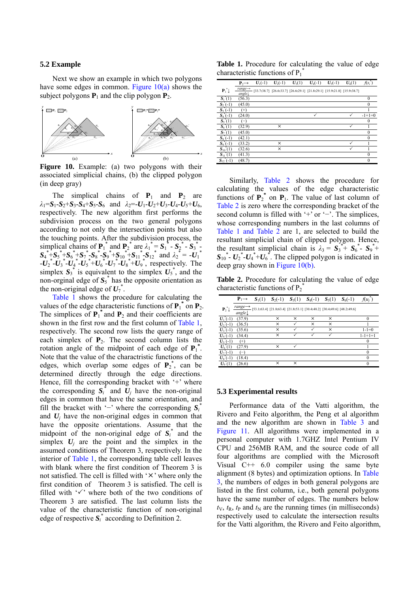#### **5.2 Example**

Next we show an example in which two polygons have some edges in common. Figure  $10(a)$  shows the subject polygons  $P_1$  and the clip polygon  $P_2$ .



**Figure 10.** Example: (a) two polygons with their associated simplicial chains, (b) the clipped polygon (in deep gray)

The simplical chains of  $P_1$  and  $P_2$  are  $\lambda_1 = S_1 - S_2 + S_3 - S_4 + S_5 - S_6$  and  $\lambda_2 = -U_1 - U_2 + U_3 - U_4 - U_5 + U_6$ , respectively. The new algorithm first performs the subdivision process on the two general polygons according to not only the intersection points but also the touching points. After the subdivision process, the simplical chains of  $P_1^*$  and  $P_2^*$  are  $\lambda_1^* = S_1^* - S_2^* - S_3^*$ .  $S_4$ <sup>\*</sup>+ $S_5$ <sup>\*</sup>+ $S_6$ <sup>\*</sup>+ $S_7$ <sup>\*</sup>- $S_8$ <sup>\*</sup>- $S_9$ <sup>\*</sup>+ $S_{10}$ <sup>\*</sup>+ $S_{11}$ <sup>\*</sup>- $S_{12}$ <sup>\*</sup> and  $\lambda_2$ <sup>\*</sup> = - $U_1$ <sup>\*</sup>  $-U_2^*$   $-U_3^*$   $-U_4^*$   $-U_5^*$   $+U_6^*$   $-U_7^*$   $-U_8^*$   $+U_9^*$ , respectively. The simplex  $S_3^*$  is equivalent to the simplex  $U_5^*$ , and the non-orginal edge of  $S_5^*$  has the opposite orientation as the non-original edge of  $U_7^*$ .

Table 1 shows the procedure for calculating the values of the edge characteristic functions of  $P_1^*$  on  $P_2$ . The simplices of  $P_1^*$  and  $P_2$  and their coefficients are shown in the first row and the first column of Table 1, respectively. The second row lists the query range of each simplex of **P**2. The second column lists the rotation angle of the midpoint of each edge of  $P_1^*$ . Note that the value of the charactristic functions of the edges, which overlap some edges of  $P_2^*$ , can be determined directly through the edge directions. Hence, fill the corresponding bracket with '+' where the corresponding  $S_i^*$  and  $\overline{U}_j$  have the non-original edges in common that have the same orientation, and fill the bracket with '−' where the corresponding  $S_i^*$ and  $U_i$  have the non-original edges in common that have the opposite orientations. Assume that the midpoint of the non-original edge of  $S_i^*$  and the simplex  $U_i$  are the point and the simplex in the assumed conditions of Theorem 3, respectively. In the interior of Table 1, the corresponding table cell leaves with blank where the first condition of Theorem 3 is not satisfied. The cell is filled with  $\forall$  where only the first condition of Theorem 3 is satisfied. The cell is filled with  $\sqrt{3}$  where both of the two conditions of Theorem 3 are satisfied. The last column lists the value of the characteristic function of non-original edge of respective  $S_i^*$  according to Definition 2.

**Table 1.** Procedure for calculating the value of edge characteristic functions of  $P_1^*$ 

|                          | $P_2 \rightarrow$                        | $U_1(-1)$ | $U_2(-1)$ | $U_3(1)$ | $U_4(-1)$    | $U_5(-1)$                                                               | $U_6(1)$ | $\int (s_i$  |
|--------------------------|------------------------------------------|-----------|-----------|----------|--------------|-------------------------------------------------------------------------|----------|--------------|
| ${\bf P}_1^* \downarrow$ | $range \rightarrow$<br>$angle\downarrow$ |           |           |          |              | [33.7:38.7] [26.6:33.7] [26.6:29.1] [21.8:29.1] [15.9:21.8] [15.9:38.7] |          |              |
| $S_1$                    | (56.3)                                   |           |           |          |              |                                                                         |          | $\theta$     |
| $S_2(-1)$                | (45.0)                                   |           |           |          |              |                                                                         |          | $\theta$     |
| $S_3$<br>$-1)$           | $^{(+)}$                                 |           |           |          |              |                                                                         |          |              |
| $S_4^*(-1)$              | (24.0)                                   |           |           |          | $\checkmark$ |                                                                         | v        | $-1+1=0$     |
| $S_{\rm S}$              |                                          |           |           |          |              |                                                                         |          | $\theta$     |
| $S_6(1)$                 | (32.9)                                   |           | ×         |          |              |                                                                         |          |              |
| $S_7$                    | (45.0)                                   |           |           |          |              |                                                                         |          | $\theta$     |
| $S_8$<br>$-11$           | (42.1)                                   |           |           |          |              |                                                                         |          | $\theta$     |
| $S_{9}$<br>$-1)$         | (33.2)                                   |           | ×         |          |              |                                                                         |          |              |
| $S_{10}$                 | (32.6)                                   |           | ×         |          |              |                                                                         |          |              |
| (1)                      | (41.3)                                   |           |           |          |              |                                                                         |          | $\theta$     |
| $S_{12}$<br>$-1$         | (48.7)                                   |           |           |          |              |                                                                         |          | $\mathbf{0}$ |

Similarly, Table 2 shows the procedure for calculating the values of the edge characteristic functions of  $P_2^*$  on  $P_1$ . The value of last column of Table 2 is zero where the corresponding bracket of the second column is filled with '+' or '−'. The simplices, whose corresponding numbers in the last columns of Table 1 and Table 2 are 1, are selected to build the resultant simplicial chain of clipped polygon. Hence, the resultant simplicial chain is  $\lambda_3 = S_3^* + S_6^* - S_9^* +$  $S_{10}^*$  -  $U_2^*$  - $U_4^*$  +  $U_6^*$ . The clipped polygon is indicated in deep gray shown in Figure 10(b).

**Table 2.** Procedure for calculating the value of edge characteristic functions of  $P_2^*$ 

|                                     | $P_1 \rightarrow$                        | $S_1(1)$ | $S_2(-1)$ | $S_3(1)$ | $S_4(-1)$                                                               | $S_5(1)$ | $S_6(-1)$ | $\mathcal{J}(u_i)$ |
|-------------------------------------|------------------------------------------|----------|-----------|----------|-------------------------------------------------------------------------|----------|-----------|--------------------|
| $\mathbf{P}_{2}^{\ast}$             | $range \rightarrow$<br>$angle\downarrow$ |          |           |          | [53.1:63.4] [21.8:63.4] [21.8:53.1] [30.4:48.2] [30.4:49.6] [48.2:49.6] |          |           |                    |
| $U_1$ <sup>*</sup> $(-$             | (37.9)                                   |          | $\times$  | ×        | ×                                                                       | ×        |           | 0                  |
| $U_2$<br>$\cdot$ -] $\cdot$         | (36.5)                                   |          | ×         |          | ×                                                                       | $\times$ |           |                    |
| $\overline{U_3}^*$ $\left(-\right)$ | (35.6)                                   |          | ×         |          | ✓                                                                       | ×        |           | $1 - 1 = 0$        |
| $U_4$ (<br>۰.                       | (34.4)                                   |          | ×         |          |                                                                         |          |           | $1 - 1 + 1 = 1$    |
| $\overline{U_5}$ (-1)               | $^{(+)}$                                 |          |           |          |                                                                         |          |           | $\theta$           |
| $U_6$                               | (27.9)                                   |          | ×         |          |                                                                         |          |           |                    |
| U-                                  |                                          |          |           |          |                                                                         |          |           | $\Omega$           |
| ${\boldsymbol{U}_8}^*$              | (18.4)                                   |          |           |          |                                                                         |          |           | $\Omega$           |
| U.                                  | (26.6)                                   |          | $\times$  | ×        |                                                                         |          |           | $\theta$           |

#### **5.3 Experimental results**

Performance data of the Vatti algorithm, the Rivero and Feito algorithm, the Peng et al algorithm and the new algorithm are shown in Table 3 and Figure 11. All algorithms were implemented in a personal computer with 1.7GHZ Intel Pentium IV CPU and 256MB RAM, and the source code of all four algorithms are complied with the Microsoft Visual C++ 6.0 compiler using the same byte alignment (8 bytes) and optimization options. In Table 3, the numbers of edges in both general polygons are listed in the first column, i.e., both general polygons have the same number of edges. The numbers below  $t<sub>V</sub>$ ,  $t<sub>R</sub>$ ,  $t<sub>P</sub>$  and  $t<sub>N</sub>$  are the running times (in milliseconds) respectively used to calculate the intersection results for the Vatti algorithm, the Rivero and Feito algorithm,